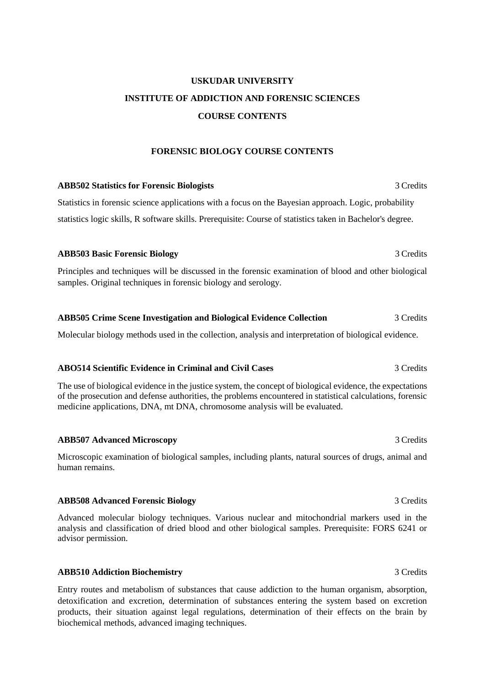## **USKUDAR UNIVERSITY INSTITUTE OF ADDICTION AND FORENSIC SCIENCES COURSE CONTENTS**

## **FORENSIC BIOLOGY COURSE CONTENTS**

## **ABB502 Statistics for Forensic Biologists** 3 Credits Statistics in forensic science applications with a focus on the Bayesian approach. Logic, probability statistics logic skills, R software skills. Prerequisite: Course of statistics taken in Bachelor's degree.

## **ABB503 Basic Forensic Biology** 3 Credits

Principles and techniques will be discussed in the forensic examination of blood and other biological samples. Original techniques in forensic biology and serology.

### **ABB505 Crime Scene Investigation and Biological Evidence Collection** 3 Credits

Molecular biology methods used in the collection, analysis and interpretation of biological evidence.

## **ABO514 Scientific Evidence in Criminal and Civil Cases** 3 Credits

The use of biological evidence in the justice system, the concept of biological evidence, the expectations of the prosecution and defense authorities, the problems encountered in statistical calculations, forensic medicine applications, DNA, mt DNA, chromosome analysis will be evaluated.

#### **ABB507 Advanced Microscopy** 3 Credits

Microscopic examination of biological samples, including plants, natural sources of drugs, animal and human remains.

#### **ABB508 Advanced Forensic Biology** 3 Credits 3 Credits

Advanced molecular biology techniques. Various nuclear and mitochondrial markers used in the analysis and classification of dried blood and other biological samples. Prerequisite: FORS 6241 or advisor permission.

## **ABB510 Addiction Biochemistry** 3 Credits

Entry routes and metabolism of substances that cause addiction to the human organism, absorption, detoxification and excretion, determination of substances entering the system based on excretion products, their situation against legal regulations, determination of their effects on the brain by biochemical methods, advanced imaging techniques.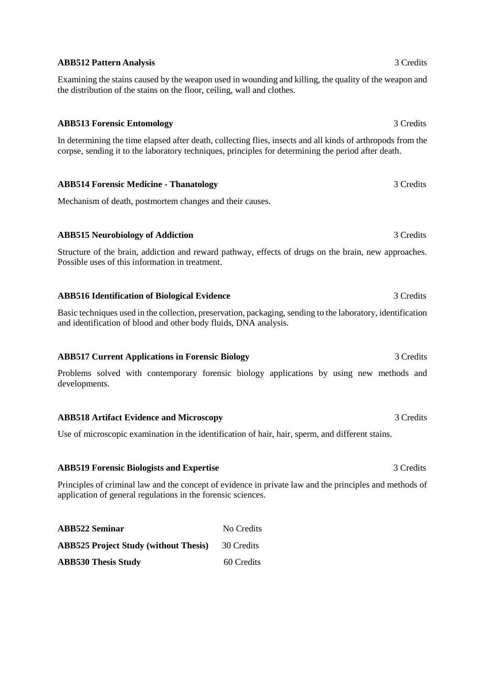## **ABB512 Pattern Analysis** 3 Credits

Examining the stains caused by the weapon used in wounding and killing, the quality of the weapon and the distribution of the stains on the floor, ceiling, wall and clothes.

## **ABB513 Forensic Entomology** 3 Credits

In determining the time elapsed after death, collecting flies, insects and all kinds of arthropods from the corpse, sending it to the laboratory techniques, principles for determining the period after death.

**ABB514 Forensic Medicine - Thanatology** 3 Credits

Mechanism of death, postmortem changes and their causes.

## **ABB515 Neurobiology of Addiction** 3 Credits

Structure of the brain, addiction and reward pathway, effects of drugs on the brain, new approaches. Possible uses of this information in treatment.

## **ABB516 Identification of Biological Evidence** 3 Credits

Basic techniques used in the collection, preservation, packaging, sending to the laboratory, identification and identification of blood and other body fluids, DNA analysis.

## **ABB517 Current Applications in Forensic Biology** 3 Credits

Problems solved with contemporary forensic biology applications by using new methods and developments.

## **ABB518 Artifact Evidence and Microscopy** 3 Credits 3 Credits

Use of microscopic examination in the identification of hair, hair, sperm, and different stains.

## **ABB519 Forensic Biologists and Expertise** 3 Credits

Principles of criminal law and the concept of evidence in private law and the principles and methods of application of general regulations in the forensic sciences.

| <b>ABB522 Seminar</b>                        | No Credits |
|----------------------------------------------|------------|
| <b>ABB525 Project Study (without Thesis)</b> | 30 Credits |
| <b>ABB530 Thesis Study</b>                   | 60 Credits |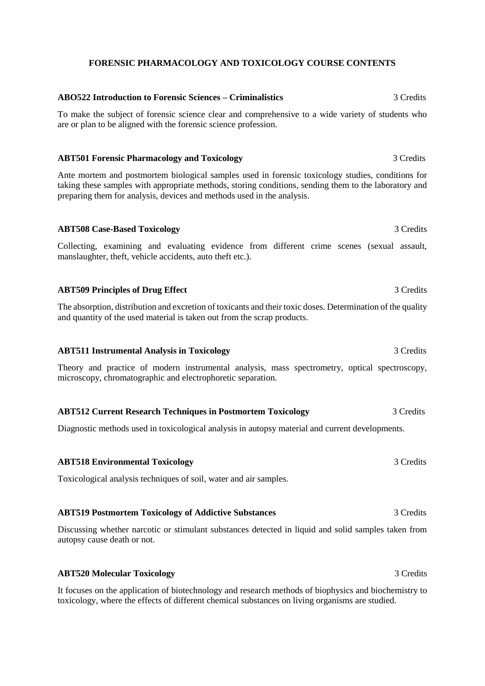## **FORENSIC PHARMACOLOGY AND TOXICOLOGY COURSE CONTENTS**

# **ABO522 Introduction to Forensic Sciences – Criminalistics** 3 Credits To make the subject of forensic science clear and comprehensive to a wide variety of students who are or plan to be aligned with the forensic science profession. **ABT501 Forensic Pharmacology and Toxicology 3 Credits** 3 Credits Ante mortem and postmortem biological samples used in forensic toxicology studies, conditions for taking these samples with appropriate methods, storing conditions, sending them to the laboratory and preparing them for analysis, devices and methods used in the analysis. **ABT508 Case-Based Toxicology** 3 Credits 3 Credits Collecting, examining and evaluating evidence from different crime scenes (sexual assault, manslaughter, theft, vehicle accidents, auto theft etc.). **ABT509 Principles of Drug Effect** 3 Credits 3 Credits The absorption, distribution and excretion of toxicants and their toxic doses. Determination of the quality and quantity of the used material is taken out from the scrap products. **ABT511 Instrumental Analysis in Toxicology** 3 Credits Theory and practice of modern instrumental analysis, mass spectrometry, optical spectroscopy, microscopy, chromatographic and electrophoretic separation. **ABT512 Current Research Techniques in Postmortem Toxicology** 3 Credits Diagnostic methods used in toxicological analysis in autopsy material and current developments. **ABT518 Environmental Toxicology** 3 Credits Toxicological analysis techniques of soil, water and air samples.

## **ABT519 Postmortem Toxicology of Addictive Substances** 3 Credits

Discussing whether narcotic or stimulant substances detected in liquid and solid samples taken from autopsy cause death or not.

## **ABT520 Molecular Toxicology** 3 Credits

It focuses on the application of biotechnology and research methods of biophysics and biochemistry to toxicology, where the effects of different chemical substances on living organisms are studied.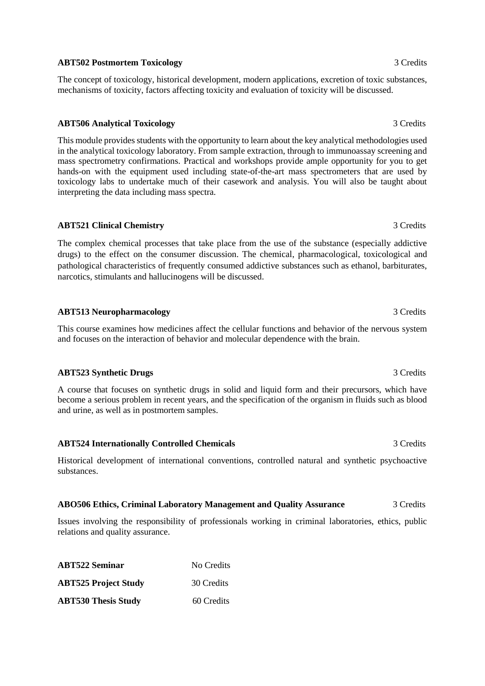## **ABT502 Postmortem Toxicology** 3 Credits

The concept of toxicology, historical development, modern applications, excretion of toxic substances, mechanisms of toxicity, factors affecting toxicity and evaluation of toxicity will be discussed.

## **ABT506 Analytical Toxicology** 3 Credits

This module provides students with the opportunity to learn about the key analytical methodologies used in the analytical toxicology laboratory. From sample extraction, through to immunoassay screening and mass spectrometry confirmations. Practical and workshops provide ample opportunity for you to get hands-on with the equipment used including state-of-the-art mass spectrometers that are used by toxicology labs to undertake much of their casework and analysis. You will also be taught about interpreting the data including mass spectra.

## **ABT521 Clinical Chemistry** 3 Credits

The complex chemical processes that take place from the use of the substance (especially addictive drugs) to the effect on the consumer discussion. The chemical, pharmacological, toxicological and pathological characteristics of frequently consumed addictive substances such as ethanol, barbiturates, narcotics, stimulants and hallucinogens will be discussed.

## **ABT513 Neuropharmacology** 3 Credits

This course examines how medicines affect the cellular functions and behavior of the nervous system and focuses on the interaction of behavior and molecular dependence with the brain.

## **ABT523 Synthetic Drugs** 3 Credits 3 Credits

A course that focuses on synthetic drugs in solid and liquid form and their precursors, which have become a serious problem in recent years, and the specification of the organism in fluids such as blood and urine, as well as in postmortem samples.

## **ABT524 Internationally Controlled Chemicals** 3 Credits

Historical development of international conventions, controlled natural and synthetic psychoactive substances.

## **ABO506 Ethics, Criminal Laboratory Management and Quality Assurance** 3 Credits

Issues involving the responsibility of professionals working in criminal laboratories, ethics, public relations and quality assurance.

| <b>ABT522 Seminar</b>       | No Credits |
|-----------------------------|------------|
| <b>ABT525 Project Study</b> | 30 Credits |
| <b>ABT530 Thesis Study</b>  | 60 Credits |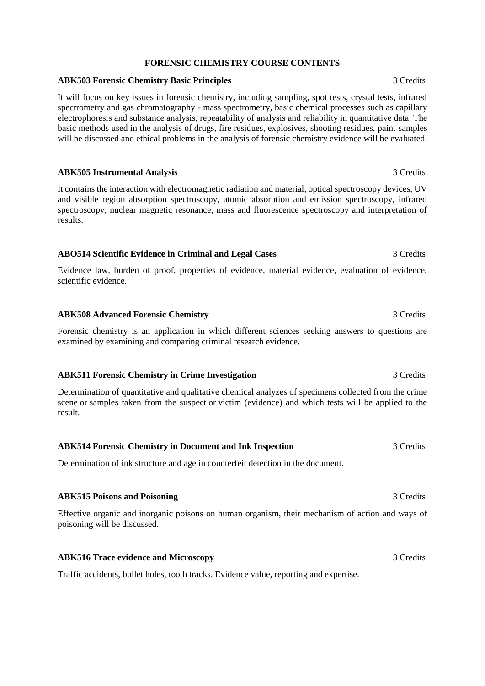### **FORENSIC CHEMISTRY COURSE CONTENTS**

### **ABK503 Forensic Chemistry Basic Principles** 3 Credits

It will focus on key issues in forensic chemistry, including sampling, spot tests, crystal tests, infrared spectrometry and gas chromatography - mass spectrometry, basic chemical processes such as capillary electrophoresis and substance analysis, repeatability of analysis and reliability in quantitative data. The basic methods used in the analysis of drugs, fire residues, explosives, shooting residues, paint samples will be discussed and ethical problems in the analysis of forensic chemistry evidence will be evaluated.

#### **ABK505 Instrumental Analysis** 3 Credits

It contains the interaction with electromagnetic radiation and material, optical spectroscopy devices, UV and visible region absorption spectroscopy, atomic absorption and emission spectroscopy, infrared spectroscopy, nuclear magnetic resonance, mass and fluorescence spectroscopy and interpretation of results.

#### **ABO514 Scientific Evidence in Criminal and Legal Cases** 3 Credits

Evidence law, burden of proof, properties of evidence, material evidence, evaluation of evidence, scientific evidence.

#### **ABK508 Advanced Forensic Chemistry** 3 Credits

Forensic chemistry is an application in which different sciences seeking answers to questions are examined by examining and comparing criminal research evidence.

#### **ABK511 Forensic Chemistry in Crime Investigation** 3 Credits

Determination of quantitative and qualitative chemical analyzes of specimens collected from the crime scene or samples taken from the suspect or victim (evidence) and which tests will be applied to the result.

#### **ABK514 Forensic Chemistry in Document and Ink Inspection** 3 Credits

Determination of ink structure and age in counterfeit detection in the document.

#### **ABK515 Poisons and Poisoning** 3 Credits

Effective organic and inorganic poisons on human organism, their mechanism of action and ways of poisoning will be discussed.

### **ABK516 Trace evidence and Microscopy** 3 Credits

Traffic accidents, bullet holes, tooth tracks. Evidence value, reporting and expertise.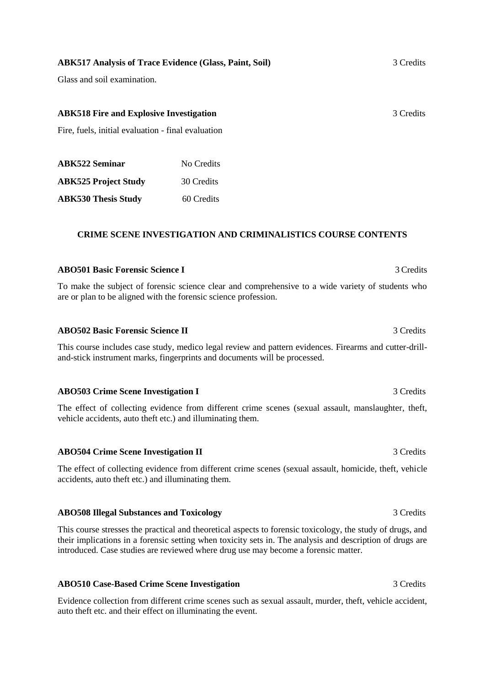## **ABK517 Analysis of Trace Evidence (Glass, Paint, Soil)** 3 Credits

Glass and soil examination.

## **ABK518 Fire and Explosive Investigation** 3 Credits

Fire, fuels, initial evaluation - final evaluation

| <b>ABK522 Seminar</b>       | No Credits |
|-----------------------------|------------|
| <b>ABK525 Project Study</b> | 30 Credits |
| <b>ABK530 Thesis Study</b>  | 60 Credits |

## **CRIME SCENE INVESTIGATION AND CRIMINALISTICS COURSE CONTENTS**

## **ABO501 Basic Forensic Science I** 3 Credits

To make the subject of forensic science clear and comprehensive to a wide variety of students who are or plan to be aligned with the forensic science profession.

## **ABO502 Basic Forensic Science II** 3 Credits

This course includes case study, medico legal review and pattern evidences. Firearms and cutter-drilland-stick instrument marks, fingerprints and documents will be processed.

## **ABO503 Crime Scene Investigation I** 3 Credits

The effect of collecting evidence from different crime scenes (sexual assault, manslaughter, theft, vehicle accidents, auto theft etc.) and illuminating them.

#### **ABO504 Crime Scene Investigation II** 3 Credits

The effect of collecting evidence from different crime scenes (sexual assault, homicide, theft, vehicle accidents, auto theft etc.) and illuminating them.

#### **ABO508 Illegal Substances and Toxicology** 3 Credits

This course stresses the practical and theoretical aspects to forensic toxicology, the study of drugs, and their implications in a forensic setting when toxicity sets in. The analysis and description of drugs are introduced. Case studies are reviewed where drug use may become a forensic matter.

## **ABO510 Case-Based Crime Scene Investigation** 3 Credits

Evidence collection from different crime scenes such as sexual assault, murder, theft, vehicle accident, auto theft etc. and their effect on illuminating the event.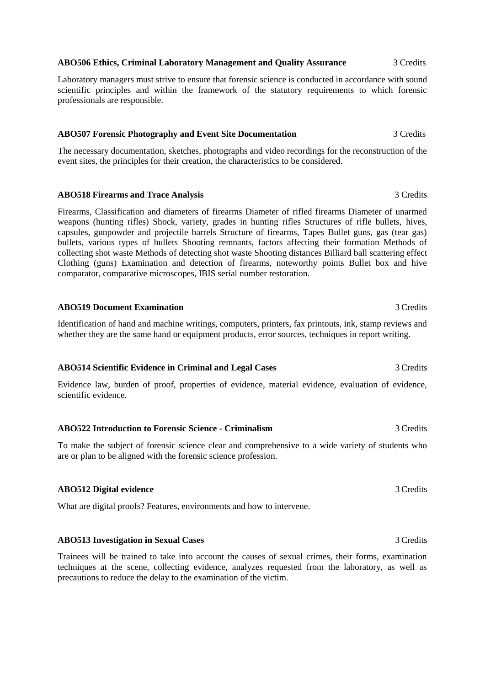#### **ABO506 Ethics, Criminal Laboratory Management and Quality Assurance** 3 Credits

Laboratory managers must strive to ensure that forensic science is conducted in accordance with sound scientific principles and within the framework of the statutory requirements to which forensic professionals are responsible.

## **ABO507 Forensic Photography and Event Site Documentation** 3 Credits

The necessary documentation, sketches, photographs and video recordings for the reconstruction of the event sites, the principles for their creation, the characteristics to be considered.

### **ABO518 Firearms and Trace Analysis** 3 Credits

Firearms, Classification and diameters of firearms Diameter of rifled firearms Diameter of unarmed weapons (hunting rifles) Shock, variety, grades in hunting rifles Structures of rifle bullets, hives, capsules, gunpowder and projectile barrels Structure of firearms, Tapes Bullet guns, gas (tear gas) bullets, various types of bullets Shooting remnants, factors affecting their formation Methods of collecting shot waste Methods of detecting shot waste Shooting distances Billiard ball scattering effect Clothing (guns) Examination and detection of firearms, noteworthy points Bullet box and hive comparator, comparative microscopes, IBIS serial number restoration.

### **ABO519 Document Examination** 3 Credits

Identification of hand and machine writings, computers, printers, fax printouts, ink, stamp reviews and whether they are the same hand or equipment products, error sources, techniques in report writing.

## **ABO514 Scientific Evidence in Criminal and Legal Cases** 3 Credits

Evidence law, burden of proof, properties of evidence, material evidence, evaluation of evidence, scientific evidence.

## **ABO522 Introduction to Forensic Science - Criminalism** 3 Credits

To make the subject of forensic science clear and comprehensive to a wide variety of students who are or plan to be aligned with the forensic science profession.

#### **ABO512 Digital evidence** 3 Credits

What are digital proofs? Features, environments and how to intervene.

#### **ABO513 Investigation in Sexual Cases** 3 Credits

Trainees will be trained to take into account the causes of sexual crimes, their forms, examination techniques at the scene, collecting evidence, analyzes requested from the laboratory, as well as precautions to reduce the delay to the examination of the victim.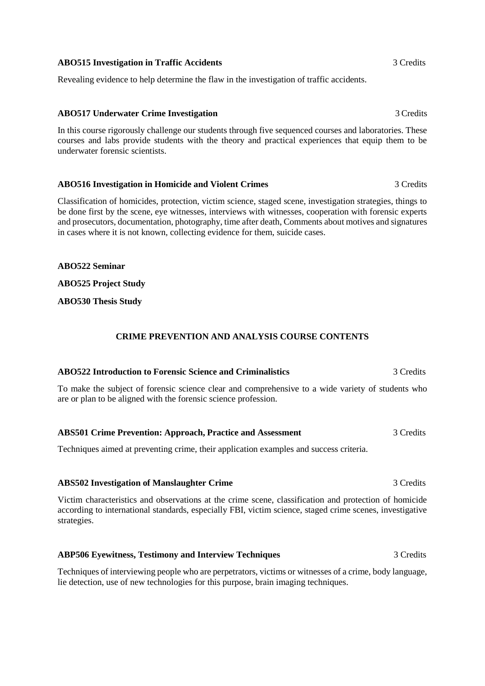### **ABO515 Investigation in Traffic Accidents** 3 Credits

Revealing evidence to help determine the flaw in the investigation of traffic accidents.

## **ABO517 Underwater Crime Investigation** 3 Credits

In this course rigorously challenge our students through five sequenced courses and laboratories. These courses and labs provide students with the theory and practical experiences that equip them to be underwater forensic scientists.

### **ABO516 Investigation in Homicide and Violent Crimes** 3 Credits

Classification of homicides, protection, victim science, staged scene, investigation strategies, things to be done first by the scene, eye witnesses, interviews with witnesses, cooperation with forensic experts and prosecutors, documentation, photography, time after death, Comments about motives and signatures in cases where it is not known, collecting evidence for them, suicide cases.

## **ABO522 Seminar**

## **ABO525 Project Study**

**ABO530 Thesis Study**

### **CRIME PREVENTION AND ANALYSIS COURSE CONTENTS**

#### **ABO522 Introduction to Forensic Science and Criminalistics** 3 Credits

To make the subject of forensic science clear and comprehensive to a wide variety of students who are or plan to be aligned with the forensic science profession.

#### **ABS501 Crime Prevention: Approach, Practice and Assessment** 3 Credits

Techniques aimed at preventing crime, their application examples and success criteria.

#### **ABS502 Investigation of Manslaughter Crime** 3 Credits

Victim characteristics and observations at the crime scene, classification and protection of homicide according to international standards, especially FBI, victim science, staged crime scenes, investigative strategies.

#### **ABP506 Eyewitness, Testimony and Interview Techniques** 3 Credits

Techniques of interviewing people who are perpetrators, victims or witnesses of a crime, body language, lie detection, use of new technologies for this purpose, brain imaging techniques.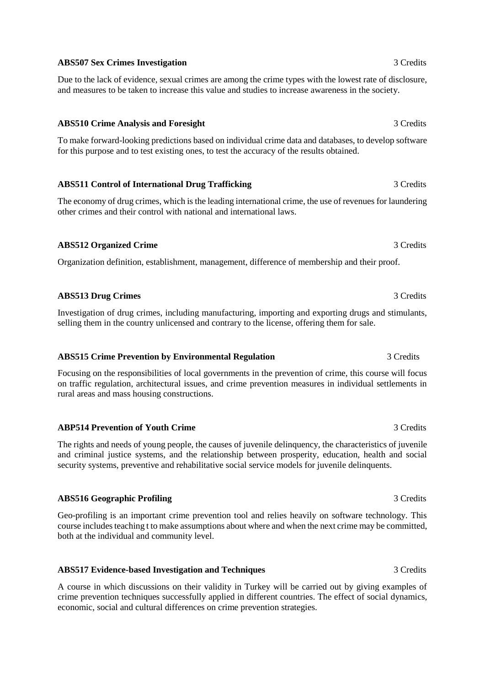## **ABS507 Sex Crimes Investigation** 3 Credits

Due to the lack of evidence, sexual crimes are among the crime types with the lowest rate of disclosure, and measures to be taken to increase this value and studies to increase awareness in the society.

## **ABS510 Crime Analysis and Foresight** 3 Credits 3 Credits

To make forward-looking predictions based on individual crime data and databases, to develop software for this purpose and to test existing ones, to test the accuracy of the results obtained.

## ABS511 Control of International Drug Trafficking 3 Credits

The economy of drug crimes, which is the leading international crime, the use of revenues for laundering other crimes and their control with national and international laws.

## **ABS512 Organized Crime** 3 Credits

Organization definition, establishment, management, difference of membership and their proof.

## **ABS513 Drug Crimes** 3 Credits

Investigation of drug crimes, including manufacturing, importing and exporting drugs and stimulants, selling them in the country unlicensed and contrary to the license, offering them for sale.

## **ABS515 Crime Prevention by Environmental Regulation** 3 Credits

Focusing on the responsibilities of local governments in the prevention of crime, this course will focus on traffic regulation, architectural issues, and crime prevention measures in individual settlements in rural areas and mass housing constructions.

## **ABP514 Prevention of Youth Crime** 3 Credits 3 Credits

The rights and needs of young people, the causes of juvenile delinquency, the characteristics of juvenile and criminal justice systems, and the relationship between prosperity, education, health and social security systems, preventive and rehabilitative social service models for juvenile delinquents.

## **ABS516 Geographic Profiling** 3 Credits

Geo-profiling is an important crime prevention tool and relies heavily on software technology. This course includes teaching t to make assumptions about where and when the next crime may be committed, both at the individual and community level.

## **ABS517 Evidence-based Investigation and Techniques** 3 Credits

A course in which discussions on their validity in Turkey will be carried out by giving examples of crime prevention techniques successfully applied in different countries. The effect of social dynamics, economic, social and cultural differences on crime prevention strategies.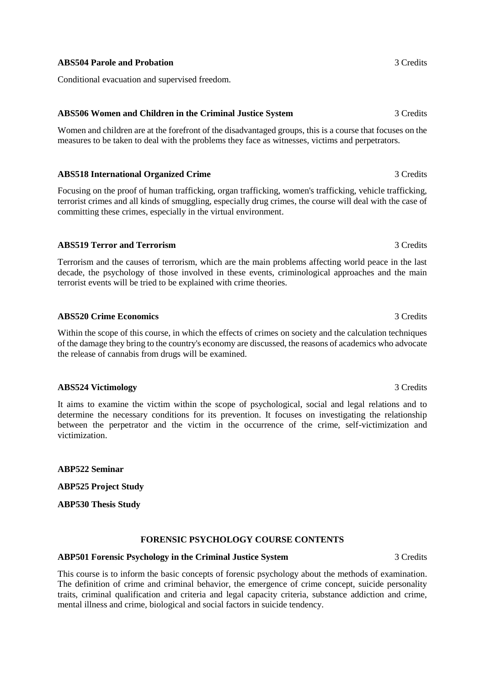## **ABS504 Parole and Probation** 3 Credits 3 Credits

Conditional evacuation and supervised freedom.

## **ABS506 Women and Children in the Criminal Justice System** 3 Credits

Women and children are at the forefront of the disadvantaged groups, this is a course that focuses on the measures to be taken to deal with the problems they face as witnesses, victims and perpetrators.

## **ABS518 International Organized Crime** 3 Credits

Focusing on the proof of human trafficking, organ trafficking, women's trafficking, vehicle trafficking, terrorist crimes and all kinds of smuggling, especially drug crimes, the course will deal with the case of committing these crimes, especially in the virtual environment.

## **ABS519 Terror and Terrorism** 3 Credits

Terrorism and the causes of terrorism, which are the main problems affecting world peace in the last decade, the psychology of those involved in these events, criminological approaches and the main terrorist events will be tried to be explained with crime theories.

## **ABS520 Crime Economics** 3 Credits

Within the scope of this course, in which the effects of crimes on society and the calculation techniques of the damage they bring to the country's economy are discussed, the reasons of academics who advocate the release of cannabis from drugs will be examined.

## **ABS524 Victimology** 3 Credits

It aims to examine the victim within the scope of psychological, social and legal relations and to determine the necessary conditions for its prevention. It focuses on investigating the relationship between the perpetrator and the victim in the occurrence of the crime, self-victimization and victimization.

**ABP522 Seminar**

**ABP525 Project Study** 

**ABP530 Thesis Study**

## **FORENSIC PSYCHOLOGY COURSE CONTENTS**

## **ABP501 Forensic Psychology in the Criminal Justice System** 3 Credits

This course is to inform the basic concepts of forensic psychology about the methods of examination. The definition of crime and criminal behavior, the emergence of crime concept, suicide personality traits, criminal qualification and criteria and legal capacity criteria, substance addiction and crime, mental illness and crime, biological and social factors in suicide tendency.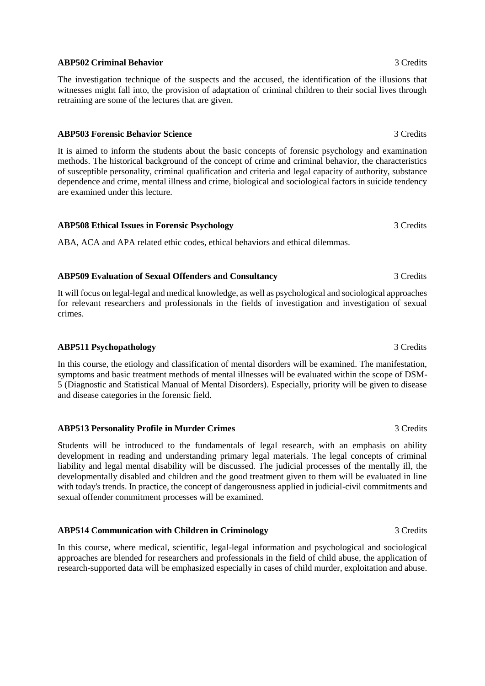## **ABP502 Criminal Behavior** 3 Credits

The investigation technique of the suspects and the accused, the identification of the illusions that witnesses might fall into, the provision of adaptation of criminal children to their social lives through retraining are some of the lectures that are given.

## **ABP503 Forensic Behavior Science** 3 Credits

It is aimed to inform the students about the basic concepts of forensic psychology and examination methods. The historical background of the concept of crime and criminal behavior, the characteristics of susceptible personality, criminal qualification and criteria and legal capacity of authority, substance dependence and crime, mental illness and crime, biological and sociological factors in suicide tendency are examined under this lecture.

## **ABP508 Ethical Issues in Forensic Psychology** 3 Credits

ABA, ACA and APA related ethic codes, ethical behaviors and ethical dilemmas.

## **ABP509 Evaluation of Sexual Offenders and Consultancy** 3 Credits

It will focus on legal-legal and medical knowledge, as well as psychological and sociological approaches for relevant researchers and professionals in the fields of investigation and investigation of sexual crimes.

## **ABP511 Psychopathology** 3 Credits

In this course, the etiology and classification of mental disorders will be examined. The manifestation, symptoms and basic treatment methods of mental illnesses will be evaluated within the scope of DSM-5 (Diagnostic and Statistical Manual of Mental Disorders). Especially, priority will be given to disease and disease categories in the forensic field.

## **ABP513 Personality Profile in Murder Crimes** 3 Credits

Students will be introduced to the fundamentals of legal research, with an emphasis on ability development in reading and understanding primary legal materials. The legal concepts of criminal liability and legal mental disability will be discussed. The judicial processes of the mentally ill, the developmentally disabled and children and the good treatment given to them will be evaluated in line with today's trends. In practice, the concept of dangerousness applied in judicial-civil commitments and sexual offender commitment processes will be examined.

## **ABP514 Communication with Children in Criminology** 3 Credits

In this course, where medical, scientific, legal-legal information and psychological and sociological approaches are blended for researchers and professionals in the field of child abuse, the application of research-supported data will be emphasized especially in cases of child murder, exploitation and abuse.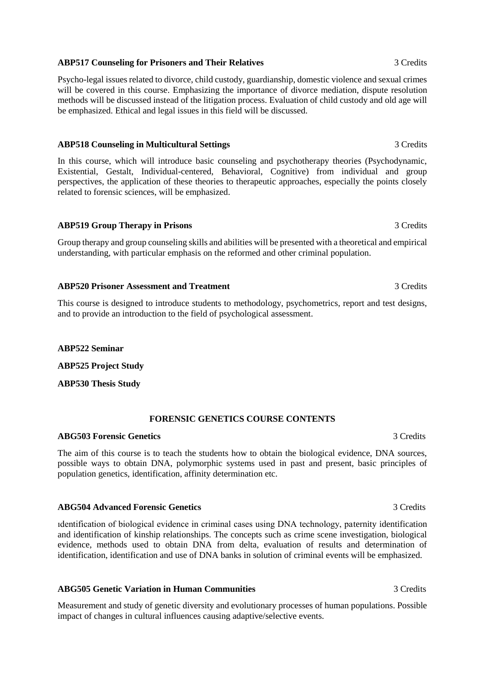## **ABP517 Counseling for Prisoners and Their Relatives** 3 Credits

Psycho-legal issues related to divorce, child custody, guardianship, domestic violence and sexual crimes will be covered in this course. Emphasizing the importance of divorce mediation, dispute resolution methods will be discussed instead of the litigation process. Evaluation of child custody and old age will be emphasized. Ethical and legal issues in this field will be discussed.

## **ABP518 Counseling in Multicultural Settings** 3 Credits

In this course, which will introduce basic counseling and psychotherapy theories (Psychodynamic, Existential, Gestalt, Individual-centered, Behavioral, Cognitive) from individual and group perspectives, the application of these theories to therapeutic approaches, especially the points closely related to forensic sciences, will be emphasized.

## **ABP519 Group Therapy in Prisons** 3 Credits

Group therapy and group counseling skills and abilities will be presented with a theoretical and empirical understanding, with particular emphasis on the reformed and other criminal population.

## **ABP520 Prisoner Assessment and Treatment** 3 Credits

This course is designed to introduce students to methodology, psychometrics, report and test designs, and to provide an introduction to the field of psychological assessment.

### **ABP522 Seminar**

**ABP525 Project Study** 

**ABP530 Thesis Study**

## **FORENSIC GENETICS COURSE CONTENTS**

## **ABG503 Forensic Genetics** 3 Credits

The aim of this course is to teach the students how to obtain the biological evidence, DNA sources, possible ways to obtain DNA, polymorphic systems used in past and present, basic principles of population genetics, identification, affinity determination etc.

## **ABG504 Advanced Forensic Genetics** 3 Credits

ıdentification of biological evidence in criminal cases using DNA technology, paternity identification and identification of kinship relationships. The concepts such as crime scene investigation, biological evidence, methods used to obtain DNA from delta, evaluation of results and determination of identification, identification and use of DNA banks in solution of criminal events will be emphasized.

## **ABG505 Genetic Variation in Human Communities** 3 Credits

Measurement and study of genetic diversity and evolutionary processes of human populations. Possible impact of changes in cultural influences causing adaptive/selective events.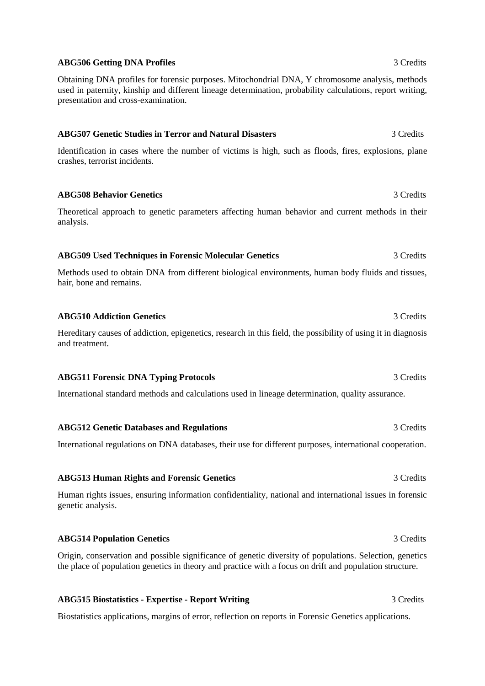## **ABG506 Getting DNA Profiles** 3 Credits

Obtaining DNA profiles for forensic purposes. Mitochondrial DNA, Y chromosome analysis, methods used in paternity, kinship and different lineage determination, probability calculations, report writing, presentation and cross-examination.

## **ABG507 Genetic Studies in Terror and Natural Disasters** 3 Credits

Identification in cases where the number of victims is high, such as floods, fires, explosions, plane crashes, terrorist incidents.

**ABG508 Behavior Genetics** 3 Credits

Theoretical approach to genetic parameters affecting human behavior and current methods in their analysis.

## **ABG509 Used Techniques in Forensic Molecular Genetics** 3 Credits

Methods used to obtain DNA from different biological environments, human body fluids and tissues, hair, bone and remains.

### **ABG510 Addiction Genetics** 3 Credits

Hereditary causes of addiction, epigenetics, research in this field, the possibility of using it in diagnosis and treatment.

### **ABG511 Forensic DNA Typing Protocols** 3 Credits 3 Credits

International standard methods and calculations used in lineage determination, quality assurance.

## **ABG512 Genetic Databases and Regulations** 3 Credits 3 Credits

International regulations on DNA databases, their use for different purposes, international cooperation.

## **ABG513 Human Rights and Forensic Genetics** 3 Credits

Human rights issues, ensuring information confidentiality, national and international issues in forensic genetic analysis.

## **ABG514 Population Genetics** 3 Credits

Origin, conservation and possible significance of genetic diversity of populations. Selection, genetics the place of population genetics in theory and practice with a focus on drift and population structure.

## **ABG515 Biostatistics - Expertise - Report Writing** 3 Credits

Biostatistics applications, margins of error, reflection on reports in Forensic Genetics applications.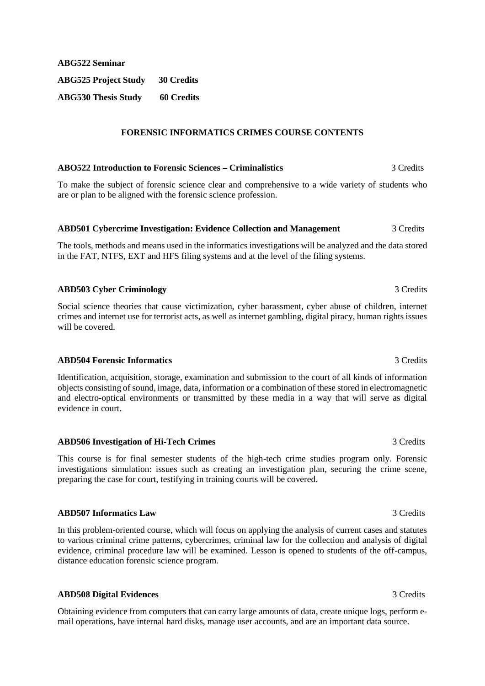**ABG522 Seminar ABG525 Project Study 30 Credits ABG530 Thesis Study 60 Credits**

## **FORENSIC INFORMATICS CRIMES COURSE CONTENTS**

#### **ABO522 Introduction to Forensic Sciences – Criminalistics** 3 Credits

To make the subject of forensic science clear and comprehensive to a wide variety of students who are or plan to be aligned with the forensic science profession.

### **ABD501 Cybercrime Investigation: Evidence Collection and Management** 3 Credits

The tools, methods and means used in the informatics investigations will be analyzed and the data stored in the FAT, NTFS, EXT and HFS filing systems and at the level of the filing systems.

## **ABD503 Cyber Criminology** 3 Credits 3 Credits

Social science theories that cause victimization, cyber harassment, cyber abuse of children, internet crimes and internet use for terrorist acts, as well as internet gambling, digital piracy, human rights issues will be covered.

## **ABD504 Forensic Informatics** 3 Credits

Identification, acquisition, storage, examination and submission to the court of all kinds of information objects consisting of sound, image, data, information or a combination of these stored in electromagnetic and electro-optical environments or transmitted by these media in a way that will serve as digital evidence in court.

## **ABD506 Investigation of Hi-Tech Crimes** 3 Credits

This course is for final semester students of the high-tech crime studies program only. Forensic investigations simulation: issues such as creating an investigation plan, securing the crime scene, preparing the case for court, testifying in training courts will be covered.

## **ABD507 Informatics Law** 3 Credits

In this problem-oriented course, which will focus on applying the analysis of current cases and statutes to various criminal crime patterns, cybercrimes, criminal law for the collection and analysis of digital evidence, criminal procedure law will be examined. Lesson is opened to students of the off-campus, distance education forensic science program.

## **ABD508 Digital Evidences** 3 Credits

Obtaining evidence from computers that can carry large amounts of data, create unique logs, perform email operations, have internal hard disks, manage user accounts, and are an important data source.